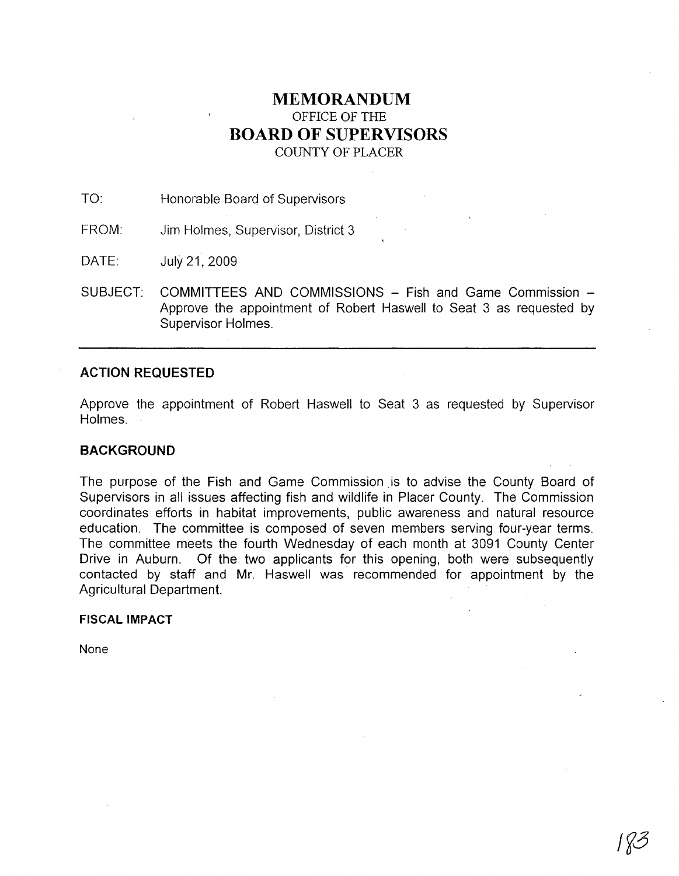# **MEMORANDUM** OFFICE OF THE **BOARD OF SUPERVISORS** COUNTY OF PLACER

TO: Honorable Board of Supervisors

FROM: Jim Holmes, Supervisor, District 3

DATE: July21,2009

SUBJECT: COMMITTEES AND COMMISSIONS - Fish and Game Commission -Approve the appointment of Robert Haswell to Seat 3 as requested by Supervisor Holmes.

# **ACTION REQUESTED**

Approve the appointment of Robert Haswell to Seat 3 as requested by Supervisor Holmes.

# **BACKGROUND**

The purpose of the Fish and Game Commission is to advise the County Board of Supervisors in all issues affecting fish and wildlife in Placer County. The Commission coordinates efforts in habitat improvements, public awareness and natural resource education. The committee is composed of seven members serving four-year terms. The committee meets the fourth Wednesday of each month at 3091 County Center Drive in Auburn. Of the two applicants for this opening, both were subsequently contacted by staff and Mr. Haswell was recommended for appointment by the Agricultural Department.

## **FISCAL IMPACT**

None